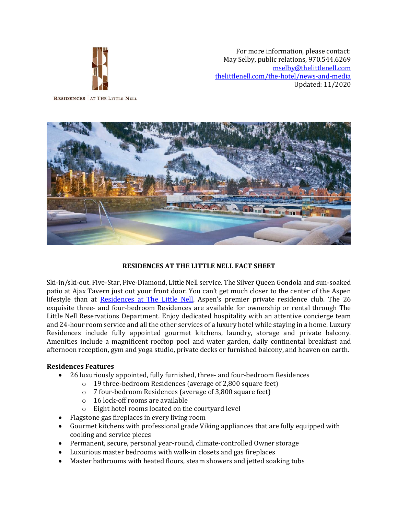

For more information, please contact: May Selby, public relations, 970.544.6269 [mselby@thelittlenell.com](mailto:mselby@thelittlenell.com) [thelittlenell.com/the-hotel/news-and-media](file:///C:/Users/mselby/AppData/Local/Microsoft/Windows/Temporary%20Internet%20Files/Content.Outlook/AKRTXXO8/thelittlenell.com/the-hotel/news-and-media) Updated: 11/2020

**RESIDENCES** AT THE LITTLE NELL



# **RESIDENCES AT THE LITTLE NELL FACT SHEET**

Ski-in/ski-out. Five-Star, Five-Diamond, Little Nell service. The Silver Queen Gondola and sun-soaked patio at Ajax Tavern just out your front door. You can't get much closer to the center of the Aspen lifestyle than at [Residences at The Little Nell](https://www.thelittlenell.com/residences?_ga=2.192563566.57057745.1519074924-786337620.1508522922), Aspen's premier private residence club. The 26 exquisite three- and four-bedroom Residences are available for ownership or rental through The Little Nell Reservations Department. Enjoy dedicated hospitality with an attentive concierge team and 24-hour room service and all the other services of a luxury hotel while staying in a home. Luxury Residences include fully appointed gourmet kitchens, laundry, storage and private balcony. Amenities include a magnificent rooftop pool and water garden, daily continental breakfast and afternoon reception, gym and yoga studio, private decks or furnished balcony, and heaven on earth.

#### **Residences Features**

- 26 luxuriously appointed, fully furnished, three- and four-bedroom Residences
	- o 19 three-bedroom Residences (average of 2,800 square feet)
	- o 7 four-bedroom Residences (average of 3,800 square feet)
	- o 16 lock-off rooms are available
	- o Eight hotel rooms located on the courtyard level
- Flagstone gas fireplaces in every living room
- Gourmet kitchens with professional grade Viking appliances that are fully equipped with cooking and service pieces
- Permanent, secure, personal year-round, climate-controlled Owner storage
- Luxurious master bedrooms with walk-in closets and gas fireplaces
- Master bathrooms with heated floors, steam showers and jetted soaking tubs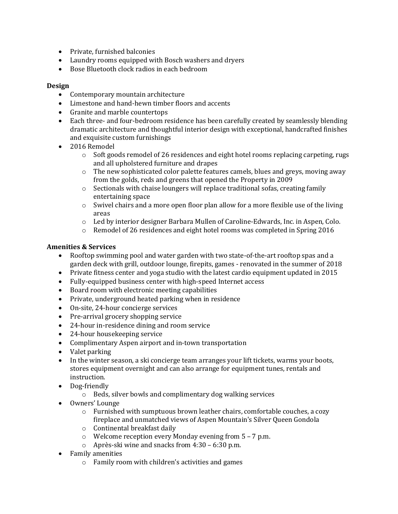- Private, furnished balconies
- Laundry rooms equipped with Bosch washers and dryers
- Bose Bluetooth clock radios in each bedroom

#### **Design**

- Contemporary mountain architecture
- Limestone and hand-hewn timber floors and accents
- Granite and marble countertops
- Each three- and four-bedroom residence has been carefully created by seamlessly blending dramatic architecture and thoughtful interior design with exceptional, handcrafted finishes and exquisite custom furnishings
- 2016 Remodel
	- $\circ$  Soft goods remodel of 26 residences and eight hotel rooms replacing carpeting, rugs and all upholstered furniture and drapes
	- o The new sophisticated color palette features camels, blues and greys, moving away from the golds, reds and greens that opened the Property in 2009
	- $\circ$  Sectionals with chaise loungers will replace traditional sofas, creating family entertaining space
	- $\circ$  Swivel chairs and a more open floor plan allow for a more flexible use of the living areas
	- o Led by interior designer Barbara Mullen of Caroline-Edwards, Inc. in Aspen, Colo.
	- $\circ$  Remodel of 26 residences and eight hotel rooms was completed in Spring 2016

### **Amenities & Services**

- Rooftop swimming pool and water garden with two state-of-the-art rooftop spas and a garden deck with grill, outdoor lounge, firepits, games - renovated in the summer of 2018
- Private fitness center and yoga studio with the latest cardio equipment updated in 2015
- Fully-equipped business center with high-speed Internet access
- Board room with electronic meeting capabilities
- Private, underground heated parking when in residence
- On-site, 24-hour concierge services
- Pre-arrival grocery shopping service
- 24-hour in-residence dining and room service
- 24-hour housekeeping service
- Complimentary Aspen airport and in-town transportation
- Valet parking
- In the winter season, a ski concierge team arranges your lift tickets, warms your boots, stores equipment overnight and can also arrange for equipment tunes, rentals and instruction.
- Dog-friendly
	- o Beds, silver bowls and complimentary dog walking services
- Owners' Lounge
	- o Furnished with sumptuous brown leather chairs, comfortable couches, a cozy fireplace and unmatched views of Aspen Mountain's Silver Queen Gondola
	- o Continental breakfast daily
	- o Welcome reception every Monday evening from 5 7 p.m.
	- o Après-ski wine and snacks from 4:30 6:30 p.m.
- Family amenities
	- o Family room with children's activities and games